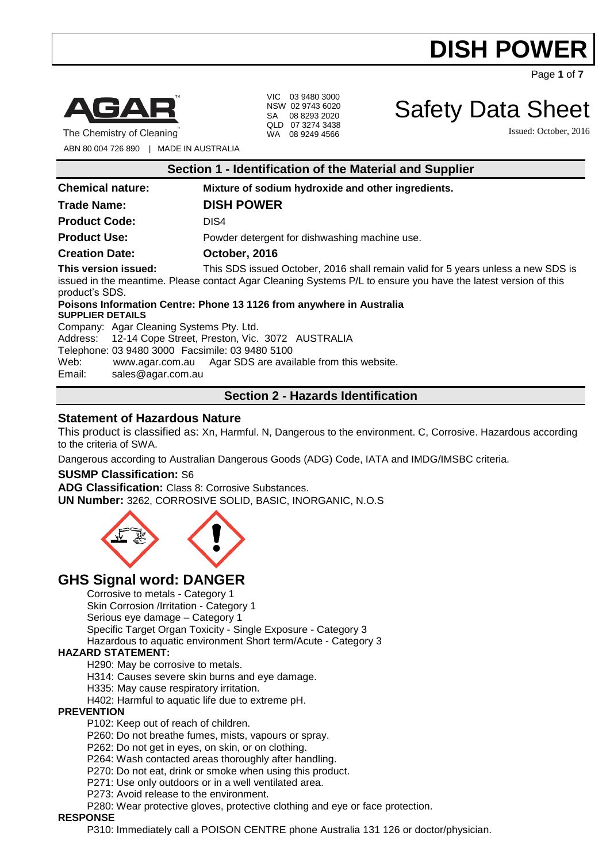Page **1** of **7**



VIC 03 9480 3000 NSW 02 9743 6020 SA 08 8293 2020 QLD 07 3274 3438 WA 08 9249 4566

Safety Data Sheet

Issued: October, 2016

The Chemistry of Cleaning

ABN 80 004 726 890 | MADE IN AUSTRALIA

| Section 1 - Identification of the Material and Supplier |                                                                                                                                                                                                    |
|---------------------------------------------------------|----------------------------------------------------------------------------------------------------------------------------------------------------------------------------------------------------|
| <b>Chemical nature:</b>                                 | Mixture of sodium hydroxide and other ingredients.                                                                                                                                                 |
| <b>Trade Name:</b>                                      | <b>DISH POWER</b>                                                                                                                                                                                  |
| <b>Product Code:</b>                                    | DIS4                                                                                                                                                                                               |
| <b>Product Use:</b>                                     | Powder detergent for dishwashing machine use.                                                                                                                                                      |
| <b>Creation Date:</b>                                   | October, 2016                                                                                                                                                                                      |
| This version issued:<br>product's SDS.                  | This SDS issued October, 2016 shall remain valid for 5 years unless a new SDS is<br>issued in the meantime. Please contact Agar Cleaning Systems P/L to ensure you have the latest version of this |
| <b>SUPPLIER DETAILS</b>                                 | Poisons Information Centre: Phone 13 1126 from anywhere in Australia                                                                                                                               |
| Company: Agar Cleaning Systems Pty. Ltd.                |                                                                                                                                                                                                    |
|                                                         | Address: 12-14 Cope Street, Preston, Vic. 3072 AUSTRALIA                                                                                                                                           |
| Telephone: 03 9480 3000 Facsimile: 03 9480 5100         |                                                                                                                                                                                                    |
| Web:                                                    | www.agar.com.au Agar SDS are available from this website.                                                                                                                                          |
| sales@agar.com.au<br>Email:                             |                                                                                                                                                                                                    |

### **Section 2 - Hazards Identification**

### **Statement of Hazardous Nature**

This product is classified as: Xn, Harmful. N, Dangerous to the environment. C, Corrosive. Hazardous according to the criteria of SWA.

Dangerous according to Australian Dangerous Goods (ADG) Code, IATA and IMDG/IMSBC criteria.

### **SUSMP Classification:** S6

**ADG Classification:** Class 8: Corrosive Substances. **UN Number:** 3262, CORROSIVE SOLID, BASIC, INORGANIC, N.O.S



# **GHS Signal word: DANGER**

Corrosive to metals - Category 1 Skin Corrosion /Irritation - Category 1 Serious eye damage – Category 1 Specific Target Organ Toxicity - Single Exposure - Category 3 Hazardous to aquatic environment Short term/Acute - Category 3

### **HAZARD STATEMENT:**

H290: May be corrosive to metals.

H314: Causes severe skin burns and eye damage.

H335: May cause respiratory irritation.

H402: Harmful to aquatic life due to extreme pH.

#### **PREVENTION**

P102: Keep out of reach of children.

- P260: Do not breathe fumes, mists, vapours or spray.
- P262: Do not get in eyes, on skin, or on clothing.
- P264: Wash contacted areas thoroughly after handling.
- P270: Do not eat, drink or smoke when using this product.
- P271: Use only outdoors or in a well ventilated area.
- P273: Avoid release to the environment.

P280: Wear protective gloves, protective clothing and eye or face protection.

#### **RESPONSE**

P310: Immediately call a POISON CENTRE phone Australia 131 126 or doctor/physician.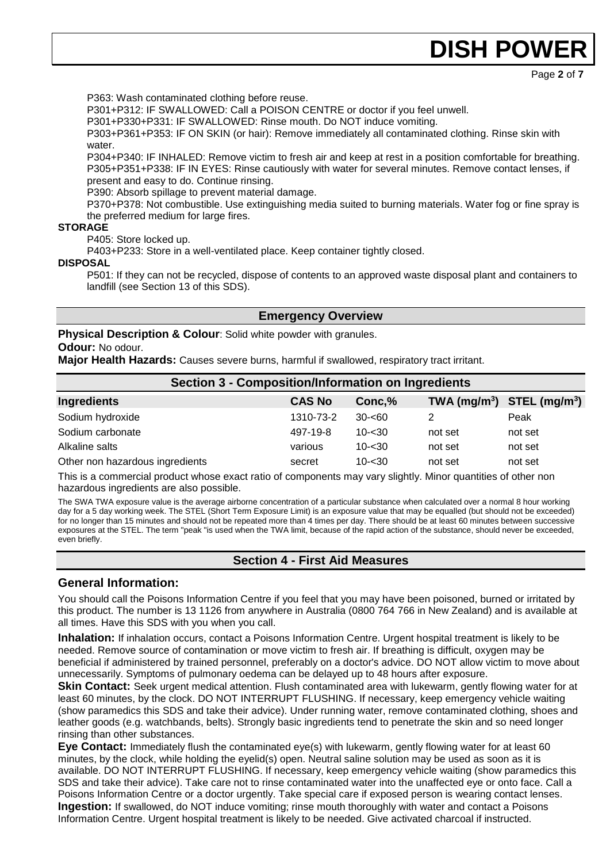Page **2** of **7**

P363: Wash contaminated clothing before reuse.

P301+P312: IF SWALLOWED: Call a POISON CENTRE or doctor if you feel unwell.

P301+P330+P331: IF SWALLOWED: Rinse mouth. Do NOT induce vomiting.

P303+P361+P353: IF ON SKIN (or hair): Remove immediately all contaminated clothing. Rinse skin with water.

P304+P340: IF INHALED: Remove victim to fresh air and keep at rest in a position comfortable for breathing. P305+P351+P338: IF IN EYES: Rinse cautiously with water for several minutes. Remove contact lenses, if present and easy to do. Continue rinsing.

P390: Absorb spillage to prevent material damage.

P370+P378: Not combustible. Use extinguishing media suited to burning materials. Water fog or fine spray is the preferred medium for large fires.

### **STORAGE**

P405: Store locked up.

P403+P233: Store in a well-ventilated place. Keep container tightly closed.

**DISPOSAL**

P501: If they can not be recycled, dispose of contents to an approved waste disposal plant and containers to landfill (see Section 13 of this SDS).

### **Emergency Overview**

**Physical Description & Colour**: Solid white powder with granules.

### **Odour:** No odour.

**Major Health Hazards:** Causes severe burns, harmful if swallowed, respiratory tract irritant.

| <b>Section 3 - Composition/Information on Ingredients</b> |               |           |                                |         |
|-----------------------------------------------------------|---------------|-----------|--------------------------------|---------|
| <b>Ingredients</b>                                        | <b>CAS No</b> | Conc, %   | TWA $(mg/m^3)$ STEL $(mg/m^3)$ |         |
| Sodium hydroxide                                          | 1310-73-2     | $30 - 60$ |                                | Peak    |
| Sodium carbonate                                          | 497-19-8      | $10 - 30$ | not set                        | not set |
| Alkaline salts                                            | various       | $10 - 30$ | not set                        | not set |
| Other non hazardous ingredients                           | secret        | $10 - 30$ | not set                        | not set |

This is a commercial product whose exact ratio of components may vary slightly. Minor quantities of other non hazardous ingredients are also possible.

The SWA TWA exposure value is the average airborne concentration of a particular substance when calculated over a normal 8 hour working day for a 5 day working week. The STEL (Short Term Exposure Limit) is an exposure value that may be equalled (but should not be exceeded) for no longer than 15 minutes and should not be repeated more than 4 times per day. There should be at least 60 minutes between successive exposures at the STEL. The term "peak "is used when the TWA limit, because of the rapid action of the substance, should never be exceeded, even briefly.

# **Section 4 - First Aid Measures**

### **General Information:**

You should call the Poisons Information Centre if you feel that you may have been poisoned, burned or irritated by this product. The number is 13 1126 from anywhere in Australia (0800 764 766 in New Zealand) and is available at all times. Have this SDS with you when you call.

**Inhalation:** If inhalation occurs, contact a Poisons Information Centre. Urgent hospital treatment is likely to be needed. Remove source of contamination or move victim to fresh air. If breathing is difficult, oxygen may be beneficial if administered by trained personnel, preferably on a doctor's advice. DO NOT allow victim to move about unnecessarily. Symptoms of pulmonary oedema can be delayed up to 48 hours after exposure.

**Skin Contact:** Seek urgent medical attention. Flush contaminated area with lukewarm, gently flowing water for at least 60 minutes, by the clock. DO NOT INTERRUPT FLUSHING. If necessary, keep emergency vehicle waiting (show paramedics this SDS and take their advice). Under running water, remove contaminated clothing, shoes and leather goods (e.g. watchbands, belts). Strongly basic ingredients tend to penetrate the skin and so need longer rinsing than other substances.

**Eye Contact:** Immediately flush the contaminated eye(s) with lukewarm, gently flowing water for at least 60 minutes, by the clock, while holding the eyelid(s) open. Neutral saline solution may be used as soon as it is available. DO NOT INTERRUPT FLUSHING. If necessary, keep emergency vehicle waiting (show paramedics this SDS and take their advice). Take care not to rinse contaminated water into the unaffected eye or onto face. Call a Poisons Information Centre or a doctor urgently. Take special care if exposed person is wearing contact lenses. **Ingestion:** If swallowed, do NOT induce vomiting; rinse mouth thoroughly with water and contact a Poisons Information Centre. Urgent hospital treatment is likely to be needed. Give activated charcoal if instructed.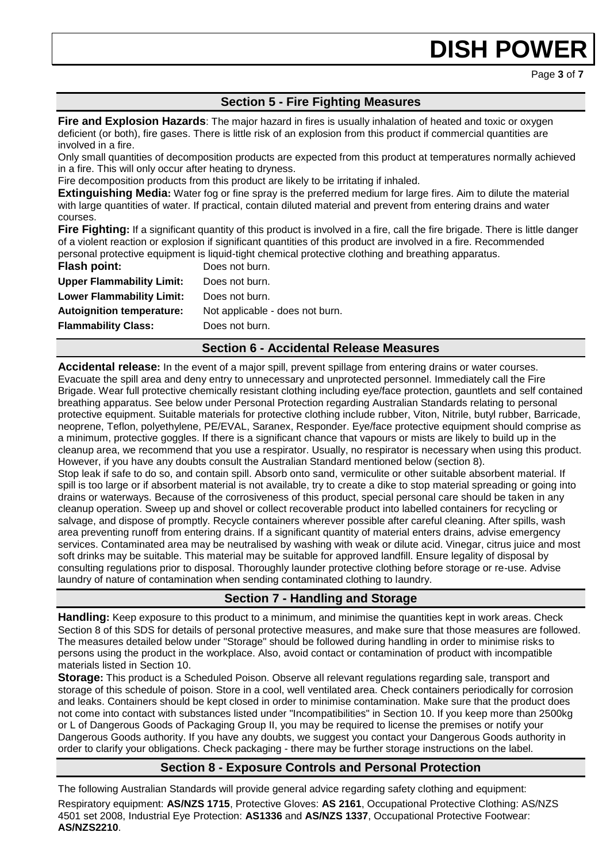Page **3** of **7**

# **Section 5 - Fire Fighting Measures**

**Fire and Explosion Hazards**: The major hazard in fires is usually inhalation of heated and toxic or oxygen deficient (or both), fire gases. There is little risk of an explosion from this product if commercial quantities are involved in a fire.

Only small quantities of decomposition products are expected from this product at temperatures normally achieved in a fire. This will only occur after heating to dryness.

Fire decomposition products from this product are likely to be irritating if inhaled.

**Extinguishing Media:** Water fog or fine spray is the preferred medium for large fires. Aim to dilute the material with large quantities of water. If practical, contain diluted material and prevent from entering drains and water courses.

**Fire Fighting:** If a significant quantity of this product is involved in a fire, call the fire brigade. There is little danger of a violent reaction or explosion if significant quantities of this product are involved in a fire. Recommended personal protective equipment is liquid-tight chemical protective clothing and breathing apparatus.

| <b>Flash point:</b>              | Does not burn.                  |
|----------------------------------|---------------------------------|
| <b>Upper Flammability Limit:</b> | Does not burn.                  |
| <b>Lower Flammability Limit:</b> | Does not burn.                  |
| <b>Autoignition temperature:</b> | Not applicable - does not burn. |
| <b>Flammability Class:</b>       | Does not burn.                  |
|                                  |                                 |

### **Section 6 - Accidental Release Measures**

**Accidental release:** In the event of a major spill, prevent spillage from entering drains or water courses. Evacuate the spill area and deny entry to unnecessary and unprotected personnel. Immediately call the Fire Brigade. Wear full protective chemically resistant clothing including eye/face protection, gauntlets and self contained breathing apparatus. See below under Personal Protection regarding Australian Standards relating to personal protective equipment. Suitable materials for protective clothing include rubber, Viton, Nitrile, butyl rubber, Barricade, neoprene, Teflon, polyethylene, PE/EVAL, Saranex, Responder. Eye/face protective equipment should comprise as a minimum, protective goggles. If there is a significant chance that vapours or mists are likely to build up in the cleanup area, we recommend that you use a respirator. Usually, no respirator is necessary when using this product. However, if you have any doubts consult the Australian Standard mentioned below (section 8). Stop leak if safe to do so, and contain spill. Absorb onto sand, vermiculite or other suitable absorbent material. If spill is too large or if absorbent material is not available, try to create a dike to stop material spreading or going into drains or waterways. Because of the corrosiveness of this product, special personal care should be taken in any cleanup operation. Sweep up and shovel or collect recoverable product into labelled containers for recycling or salvage, and dispose of promptly. Recycle containers wherever possible after careful cleaning. After spills, wash area preventing runoff from entering drains. If a significant quantity of material enters drains, advise emergency services. Contaminated area may be neutralised by washing with weak or dilute acid. Vinegar, citrus juice and most soft drinks may be suitable. This material may be suitable for approved landfill. Ensure legality of disposal by consulting regulations prior to disposal. Thoroughly launder protective clothing before storage or re-use. Advise

laundry of nature of contamination when sending contaminated clothing to laundry.

# **Section 7 - Handling and Storage**

**Handling:** Keep exposure to this product to a minimum, and minimise the quantities kept in work areas. Check Section 8 of this SDS for details of personal protective measures, and make sure that those measures are followed. The measures detailed below under "Storage" should be followed during handling in order to minimise risks to persons using the product in the workplace. Also, avoid contact or contamination of product with incompatible materials listed in Section 10.

**Storage:** This product is a Scheduled Poison. Observe all relevant regulations regarding sale, transport and storage of this schedule of poison. Store in a cool, well ventilated area. Check containers periodically for corrosion and leaks. Containers should be kept closed in order to minimise contamination. Make sure that the product does not come into contact with substances listed under "Incompatibilities" in Section 10. If you keep more than 2500kg or L of Dangerous Goods of Packaging Group II, you may be required to license the premises or notify your Dangerous Goods authority. If you have any doubts, we suggest you contact your Dangerous Goods authority in order to clarify your obligations. Check packaging - there may be further storage instructions on the label.

# **Section 8 - Exposure Controls and Personal Protection**

The following Australian Standards will provide general advice regarding safety clothing and equipment: Respiratory equipment: **AS/NZS 1715**, Protective Gloves: **AS 2161**, Occupational Protective Clothing: AS/NZS 4501 set 2008, Industrial Eye Protection: **AS1336** and **AS/NZS 1337**, Occupational Protective Footwear: **AS/NZS2210**.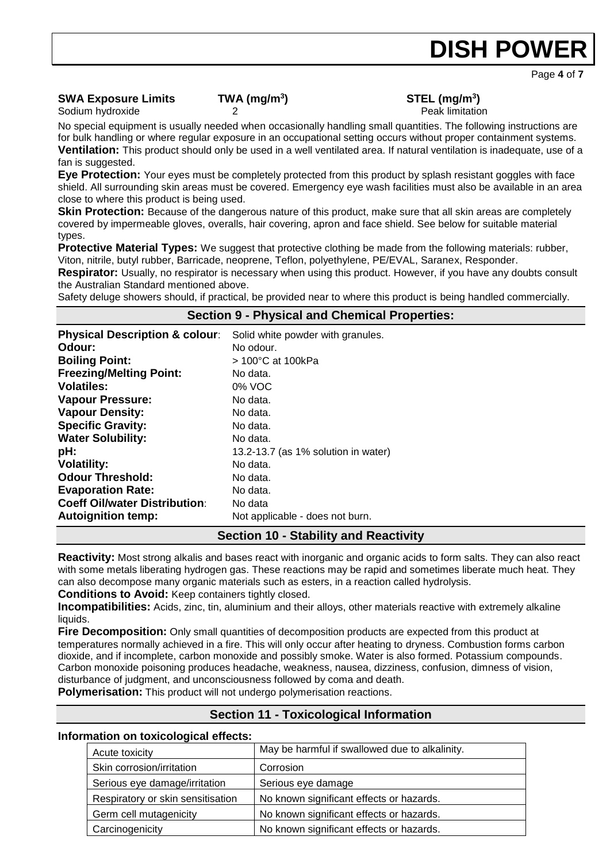Page **4** of **7**

# **SWA Exposure Limits TWA (mg/m<sup>3</sup>**

# **) STEL (mg/m<sup>3</sup> )**

Sodium hydroxide 2 2 Peak limitation 2 Peak limitation

No special equipment is usually needed when occasionally handling small quantities. The following instructions are for bulk handling or where regular exposure in an occupational setting occurs without proper containment systems. **Ventilation:** This product should only be used in a well ventilated area. If natural ventilation is inadequate, use of a fan is suggested.

**Eye Protection:** Your eyes must be completely protected from this product by splash resistant goggles with face shield. All surrounding skin areas must be covered. Emergency eye wash facilities must also be available in an area close to where this product is being used.

**Skin Protection:** Because of the dangerous nature of this product, make sure that all skin areas are completely covered by impermeable gloves, overalls, hair covering, apron and face shield. See below for suitable material types.

**Protective Material Types:** We suggest that protective clothing be made from the following materials: rubber, Viton, nitrile, butyl rubber, Barricade, neoprene, Teflon, polyethylene, PE/EVAL, Saranex, Responder.

**Respirator:** Usually, no respirator is necessary when using this product. However, if you have any doubts consult the Australian Standard mentioned above.

Safety deluge showers should, if practical, be provided near to where this product is being handled commercially.

|                                           | <b>Section 9 - Physical and Chemical Properties:</b> |
|-------------------------------------------|------------------------------------------------------|
| <b>Physical Description &amp; colour:</b> | Solid white powder with granules.                    |
| Odour:                                    | No odour.                                            |
| <b>Boiling Point:</b>                     | $>100^{\circ}$ C at 100kPa                           |
| <b>Freezing/Melting Point:</b>            | No data.                                             |
| <b>Volatiles:</b>                         | 0% VOC                                               |
| <b>Vapour Pressure:</b>                   | No data.                                             |
| <b>Vapour Density:</b>                    | No data.                                             |
| <b>Specific Gravity:</b>                  | No data.                                             |
| <b>Water Solubility:</b>                  | No data.                                             |
| pH:                                       | 13.2-13.7 (as 1% solution in water)                  |
| <b>Volatility:</b>                        | No data.                                             |
| <b>Odour Threshold:</b>                   | No data.                                             |
| <b>Evaporation Rate:</b>                  | No data.                                             |
| <b>Coeff Oil/water Distribution:</b>      | No data                                              |
| <b>Autoignition temp:</b>                 | Not applicable - does not burn.                      |
|                                           | Cootian 10 Ctability and Dopotivity                  |

### **Section 10 - Stability and Reactivity**

**Reactivity:** Most strong alkalis and bases react with inorganic and organic acids to form salts. They can also react with some metals liberating hydrogen gas. These reactions may be rapid and sometimes liberate much heat. They can also decompose many organic materials such as esters, in a reaction called hydrolysis.

**Conditions to Avoid:** Keep containers tightly closed.

**Incompatibilities:** Acids, zinc, tin, aluminium and their alloys, other materials reactive with extremely alkaline liquids.

**Fire Decomposition:** Only small quantities of decomposition products are expected from this product at temperatures normally achieved in a fire. This will only occur after heating to dryness. Combustion forms carbon dioxide, and if incomplete, carbon monoxide and possibly smoke. Water is also formed. Potassium compounds. Carbon monoxide poisoning produces headache, weakness, nausea, dizziness, confusion, dimness of vision, disturbance of judgment, and unconsciousness followed by coma and death.

**Polymerisation:** This product will not undergo polymerisation reactions.

# **Section 11 - Toxicological Information**

### **Information on toxicological effects:**

| Acute toxicity                    | May be harmful if swallowed due to alkalinity. |
|-----------------------------------|------------------------------------------------|
| Skin corrosion/irritation         | Corrosion                                      |
| Serious eye damage/irritation     | Serious eye damage                             |
| Respiratory or skin sensitisation | No known significant effects or hazards.       |
| Germ cell mutagenicity            | No known significant effects or hazards.       |
| Carcinogenicity                   | No known significant effects or hazards.       |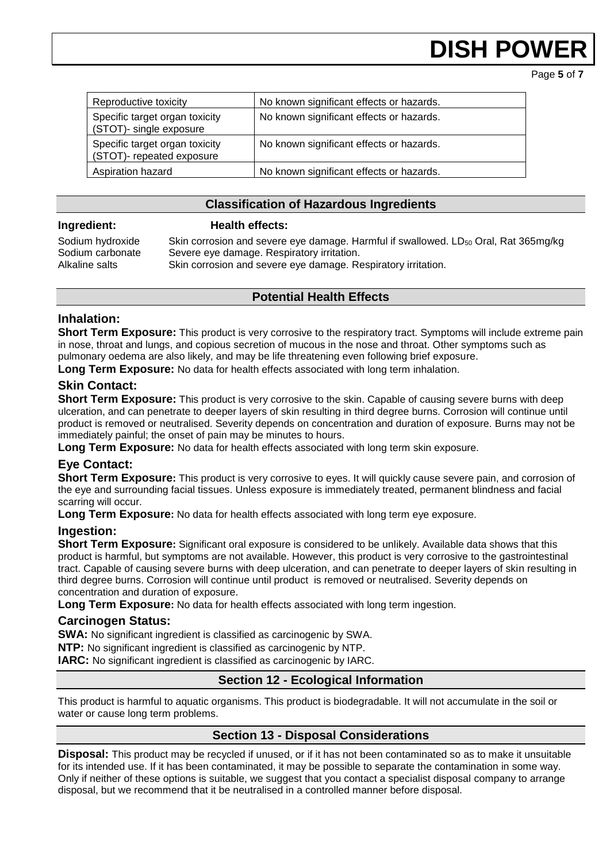Page **5** of **7**

| Reproductive toxicity                                       | No known significant effects or hazards. |
|-------------------------------------------------------------|------------------------------------------|
| Specific target organ toxicity<br>(STOT)- single exposure   | No known significant effects or hazards. |
| Specific target organ toxicity<br>(STOT)- repeated exposure | No known significant effects or hazards. |
| Aspiration hazard                                           | No known significant effects or hazards. |

### **Classification of Hazardous Ingredients**

### **Ingredient: Health effects:**

Sodium hydroxide Skin corrosion and severe eye damage. Harmful if swallowed. LD<sub>50</sub> Oral, Rat 365mg/kg Sodium carbonate Severe eye damage. Respiratory irritation. Alkaline salts Skin corrosion and severe eye damage. Respiratory irritation.

### **Potential Health Effects**

### **Inhalation:**

**Short Term Exposure:** This product is very corrosive to the respiratory tract. Symptoms will include extreme pain in nose, throat and lungs, and copious secretion of mucous in the nose and throat. Other symptoms such as pulmonary oedema are also likely, and may be life threatening even following brief exposure.

**Long Term Exposure:** No data for health effects associated with long term inhalation.

### **Skin Contact:**

**Short Term Exposure:** This product is very corrosive to the skin. Capable of causing severe burns with deep ulceration, and can penetrate to deeper layers of skin resulting in third degree burns. Corrosion will continue until product is removed or neutralised. Severity depends on concentration and duration of exposure. Burns may not be immediately painful; the onset of pain may be minutes to hours.

**Long Term Exposure:** No data for health effects associated with long term skin exposure.

### **Eye Contact:**

**Short Term Exposure:** This product is very corrosive to eyes. It will quickly cause severe pain, and corrosion of the eye and surrounding facial tissues. Unless exposure is immediately treated, permanent blindness and facial scarring will occur.

**Long Term Exposure:** No data for health effects associated with long term eye exposure.

### **Ingestion:**

**Short Term Exposure:** Significant oral exposure is considered to be unlikely. Available data shows that this product is harmful, but symptoms are not available. However, this product is very corrosive to the gastrointestinal tract. Capable of causing severe burns with deep ulceration, and can penetrate to deeper layers of skin resulting in third degree burns. Corrosion will continue until product is removed or neutralised. Severity depends on concentration and duration of exposure.

**Long Term Exposure:** No data for health effects associated with long term ingestion.

### **Carcinogen Status:**

**SWA:** No significant ingredient is classified as carcinogenic by SWA.

**NTP:** No significant ingredient is classified as carcinogenic by NTP.

**IARC:** No significant ingredient is classified as carcinogenic by IARC.

### **Section 12 - Ecological Information**

This product is harmful to aquatic organisms. This product is biodegradable. It will not accumulate in the soil or water or cause long term problems.

# **Section 13 - Disposal Considerations**

**Disposal:** This product may be recycled if unused, or if it has not been contaminated so as to make it unsuitable for its intended use. If it has been contaminated, it may be possible to separate the contamination in some way. Only if neither of these options is suitable, we suggest that you contact a specialist disposal company to arrange disposal, but we recommend that it be neutralised in a controlled manner before disposal.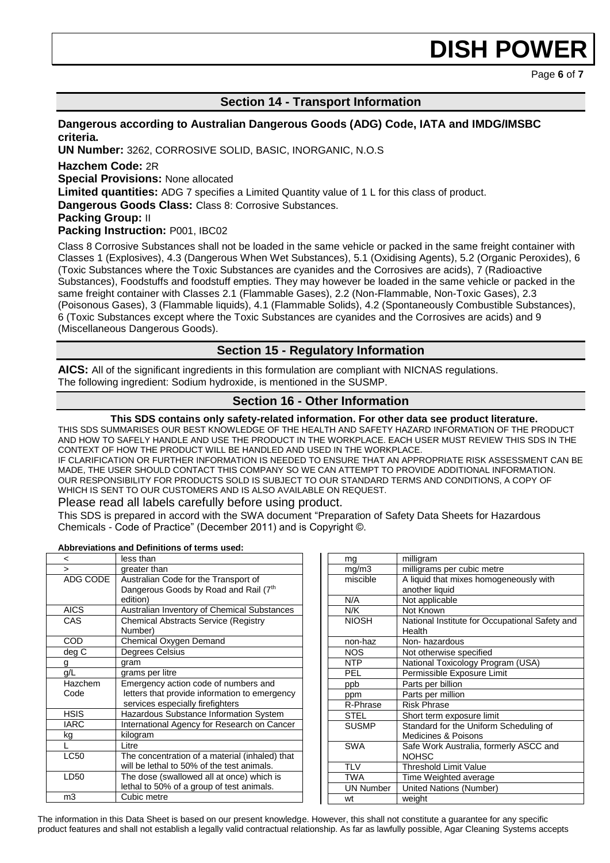Page **6** of **7**

### **Section 14 - Transport Information**

### **Dangerous according to Australian Dangerous Goods (ADG) Code, IATA and IMDG/IMSBC criteria.**

**UN Number:** 3262, CORROSIVE SOLID, BASIC, INORGANIC, N.O.S

**Hazchem Code:** 2R

**Special Provisions:** None allocated

**Limited quantities:** ADG 7 specifies a Limited Quantity value of 1 L for this class of product.

**Dangerous Goods Class:** Class 8: Corrosive Substances.

**Packing Group:** II

**Packing Instruction:** P001, IBC02

Class 8 Corrosive Substances shall not be loaded in the same vehicle or packed in the same freight container with Classes 1 (Explosives), 4.3 (Dangerous When Wet Substances), 5.1 (Oxidising Agents), 5.2 (Organic Peroxides), 6 (Toxic Substances where the Toxic Substances are cyanides and the Corrosives are acids), 7 (Radioactive Substances), Foodstuffs and foodstuff empties. They may however be loaded in the same vehicle or packed in the same freight container with Classes 2.1 (Flammable Gases), 2.2 (Non-Flammable, Non-Toxic Gases), 2.3 (Poisonous Gases), 3 (Flammable liquids), 4.1 (Flammable Solids), 4.2 (Spontaneously Combustible Substances), 6 (Toxic Substances except where the Toxic Substances are cyanides and the Corrosives are acids) and 9 (Miscellaneous Dangerous Goods).

### **Section 15 - Regulatory Information**

**AICS:** All of the significant ingredients in this formulation are compliant with NICNAS regulations. The following ingredient: Sodium hydroxide, is mentioned in the SUSMP.

### **Section 16 - Other Information**

#### **This SDS contains only safety-related information. For other data see product literature.**

THIS SDS SUMMARISES OUR BEST KNOWLEDGE OF THE HEALTH AND SAFETY HAZARD INFORMATION OF THE PRODUCT AND HOW TO SAFELY HANDLE AND USE THE PRODUCT IN THE WORKPLACE. EACH USER MUST REVIEW THIS SDS IN THE CONTEXT OF HOW THE PRODUCT WILL BE HANDLED AND USED IN THE WORKPLACE. IF CLARIFICATION OR FURTHER INFORMATION IS NEEDED TO ENSURE THAT AN APPROPRIATE RISK ASSESSMENT CAN BE

MADE, THE USER SHOULD CONTACT THIS COMPANY SO WE CAN ATTEMPT TO PROVIDE ADDITIONAL INFORMATION. OUR RESPONSIBILITY FOR PRODUCTS SOLD IS SUBJECT TO OUR STANDARD TERMS AND CONDITIONS, A COPY OF WHICH IS SENT TO OUR CUSTOMERS AND IS ALSO AVAILABLE ON REQUEST.

### Please read all labels carefully before using product.

This SDS is prepared in accord with the SWA document "Preparation of Safety Data Sheets for Hazardous Chemicals - Code of Practice" (December 2011) and is Copyright ©.

#### **Abbreviations and Definitions of terms used:**

| <              | less than                                      |
|----------------|------------------------------------------------|
| $\geq$         | greater than                                   |
| ADG CODE       | Australian Code for the Transport of           |
|                | Dangerous Goods by Road and Rail (7th          |
|                | edition)                                       |
| <b>AICS</b>    | Australian Inventory of Chemical Substances    |
| CAS            | <b>Chemical Abstracts Service (Registry</b>    |
|                | Number)                                        |
| COD            | Chemical Oxygen Demand                         |
| deg C          | <b>Degrees Celsius</b>                         |
| g              | gram                                           |
| q/L            | grams per litre                                |
| Hazchem        | Emergency action code of numbers and           |
| Code           | letters that provide information to emergency  |
|                | services especially firefighters               |
| <b>HSIS</b>    | Hazardous Substance Information System         |
| <b>IARC</b>    | International Agency for Research on Cancer    |
| kg             | kilogram                                       |
|                | Litre                                          |
| <b>LC50</b>    | The concentration of a material (inhaled) that |
|                | will be lethal to 50% of the test animals.     |
| LD50           | The dose (swallowed all at once) which is      |
|                | lethal to 50% of a group of test animals.      |
| m <sub>3</sub> | Cubic metre                                    |

| ma               | milligram                                                |
|------------------|----------------------------------------------------------|
| mg/m3            | milligrams per cubic metre                               |
| miscible         | A liquid that mixes homogeneously with                   |
|                  | another liquid                                           |
| N/A              | Not applicable                                           |
| N/K              | Not Known                                                |
| <b>NIOSH</b>     | National Institute for Occupational Safety and<br>Health |
| non-haz          | Non-hazardous                                            |
| <b>NOS</b>       | Not otherwise specified                                  |
| <b>NTP</b>       | National Toxicology Program (USA)                        |
| <b>PEL</b>       | Permissible Exposure Limit                               |
| ppb              | Parts per billion                                        |
| ppm              | Parts per million                                        |
| R-Phrase         | <b>Risk Phrase</b>                                       |
| <b>STEL</b>      | Short term exposure limit                                |
| <b>SUSMP</b>     | Standard for the Uniform Scheduling of                   |
|                  | Medicines & Poisons                                      |
| SWA              | Safe Work Australia, formerly ASCC and                   |
|                  | <b>NOHSC</b>                                             |
| <b>TLV</b>       | <b>Threshold Limit Value</b>                             |
| <b>TWA</b>       | Time Weighted average                                    |
| <b>UN Number</b> | United Nations (Number)                                  |
| wt               | weight                                                   |

The information in this Data Sheet is based on our present knowledge. However, this shall not constitute a guarantee for any specific product features and shall not establish a legally valid contractual relationship. As far as lawfully possible, Agar Cleaning Systems accepts